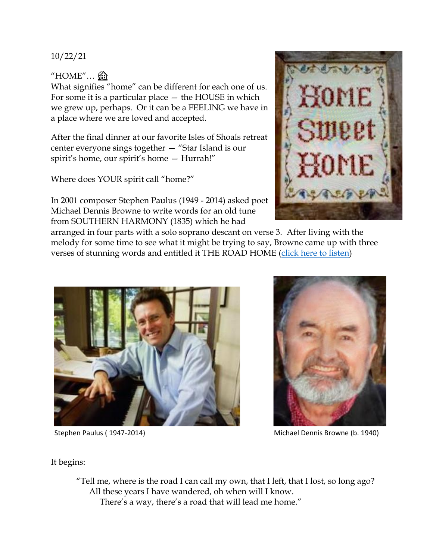## 10/22/21

 $HOME''...$ 

What signifies "home" can be different for each one of us. For some it is a particular place  $-$  the HOUSE in which we grew up, perhaps. Or it can be a FEELING we have in a place where we are loved and accepted.

After the final dinner at our favorite Isles of Shoals retreat center everyone sings together — "Star Island is our spirit's home, our spirit's home — Hurrah!"

Where does YOUR spirit call "home?"

In 2001 composer Stephen Paulus (1949 - 2014) asked poet Michael Dennis Browne to write words for an old tune from SOUTHERN HARMONY (1835) which he had



arranged in four parts with a solo soprano descant on verse 3. After living with the melody for some time to see what it might be trying to say, Browne came up with three verses of stunning words and entitled it THE ROAD HOME [\(click here to listen\)](https://www.youtube.com/watch?v=49Og75MrkV8)





Stephen Paulus (1947-2014) **Michael Dennis Browne (b. 1940)** Michael Dennis Browne (b. 1940)

It begins:

"Tell me, where is the road I can call my own, that I left, that I lost, so long ago? All these years I have wandered, oh when will I know. There's a way, there's a road that will lead me home."